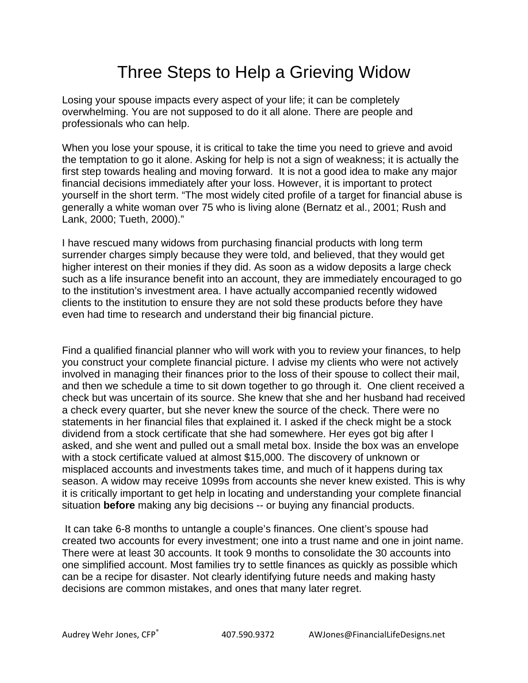## Three Steps to Help a Grieving Widow

Losing your spouse impacts every aspect of your life; it can be completely overwhelming. You are not supposed to do it all alone. There are people and professionals who can help.

When you lose your spouse, it is critical to take the time you need to grieve and avoid the temptation to go it alone. Asking for help is not a sign of weakness; it is actually the first step towards healing and moving forward. It is not a good idea to make any major financial decisions immediately after your loss. However, it is important to protect yourself in the short term. "The most widely cited profile of a target for financial abuse is generally a white woman over 75 who is living alone (Bernatz et al., 2001; Rush and Lank, 2000; Tueth, 2000)."

I have rescued many widows from purchasing financial products with long term surrender charges simply because they were told, and believed, that they would get higher interest on their monies if they did. As soon as a widow deposits a large check such as a life insurance benefit into an account, they are immediately encouraged to go to the institution's investment area. I have actually accompanied recently widowed clients to the institution to ensure they are not sold these products before they have even had time to research and understand their big financial picture.

Find a qualified financial planner who will work with you to review your finances, to help you construct your complete financial picture. I advise my clients who were not actively involved in managing their finances prior to the loss of their spouse to collect their mail, and then we schedule a time to sit down together to go through it. One client received a check but was uncertain of its source. She knew that she and her husband had received a check every quarter, but she never knew the source of the check. There were no statements in her financial files that explained it. I asked if the check might be a stock dividend from a stock certificate that she had somewhere. Her eyes got big after I asked, and she went and pulled out a small metal box. Inside the box was an envelope with a stock certificate valued at almost \$15,000. The discovery of unknown or misplaced accounts and investments takes time, and much of it happens during tax season. A widow may receive 1099s from accounts she never knew existed. This is why it is critically important to get help in locating and understanding your complete financial situation **before** making any big decisions -- or buying any financial products.

 It can take 6-8 months to untangle a couple's finances. One client's spouse had created two accounts for every investment; one into a trust name and one in joint name. There were at least 30 accounts. It took 9 months to consolidate the 30 accounts into one simplified account. Most families try to settle finances as quickly as possible which can be a recipe for disaster. Not clearly identifying future needs and making hasty decisions are common mistakes, and ones that many later regret.